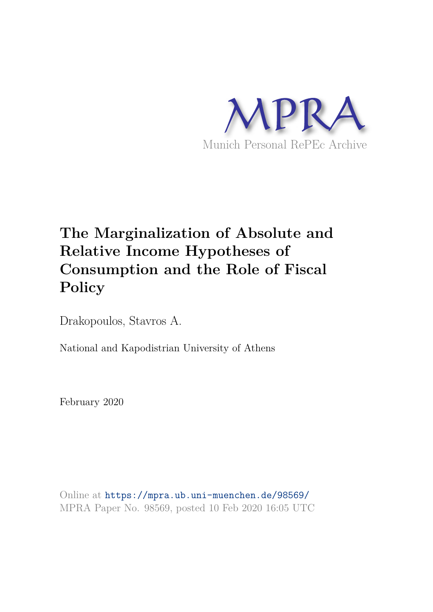

# **The Marginalization of Absolute and Relative Income Hypotheses of Consumption and the Role of Fiscal Policy**

Drakopoulos, Stavros A.

National and Kapodistrian University of Athens

February 2020

Online at https://mpra.ub.uni-muenchen.de/98569/ MPRA Paper No. 98569, posted 10 Feb 2020 16:05 UTC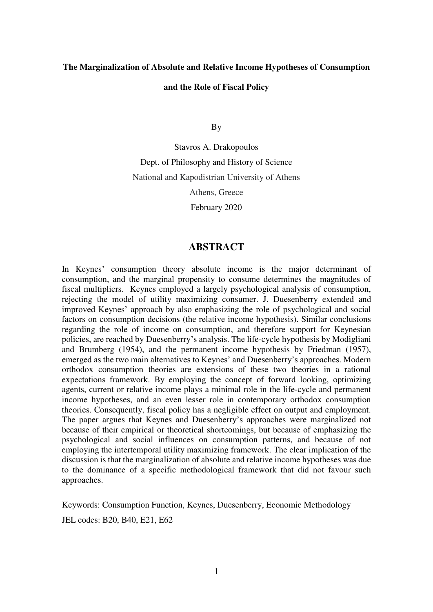# **The Marginalization of Absolute and Relative Income Hypotheses of Consumption and the Role of Fiscal Policy**

By

Stavros A. Drakopoulos Dept. of Philosophy and History of Science National and Kapodistrian University of Athens Athens, Greece February 2020

# **ABSTRACT**

In Keynes' consumption theory absolute income is the major determinant of consumption, and the marginal propensity to consume determines the magnitudes of fiscal multipliers. Keynes employed a largely psychological analysis of consumption, rejecting the model of utility maximizing consumer. J. Duesenberry extended and improved Keynes' approach by also emphasizing the role of psychological and social factors on consumption decisions (the relative income hypothesis). Similar conclusions regarding the role of income on consumption, and therefore support for Keynesian policies, are reached by Duesenberry's analysis. The life-cycle hypothesis by Modigliani and Brumberg (1954), and the permanent income hypothesis by Friedman (1957), emerged as the two main alternatives to Keynes' and Duesenberry's approaches. Modern orthodox consumption theories are extensions of these two theories in a rational expectations framework. By employing the concept of forward looking, optimizing agents, current or relative income plays a minimal role in the life-cycle and permanent income hypotheses, and an even lesser role in contemporary orthodox consumption theories. Consequently, fiscal policy has a negligible effect on output and employment. The paper argues that Keynes and Duesenberry's approaches were marginalized not because of their empirical or theoretical shortcomings, but because of emphasizing the psychological and social influences on consumption patterns, and because of not employing the intertemporal utility maximizing framework. The clear implication of the discussion is that the marginalization of absolute and relative income hypotheses was due to the dominance of a specific methodological framework that did not favour such approaches.

Keywords: Consumption Function, Keynes, Duesenberry, Economic Methodology JEL codes: B20, B40, E21, E62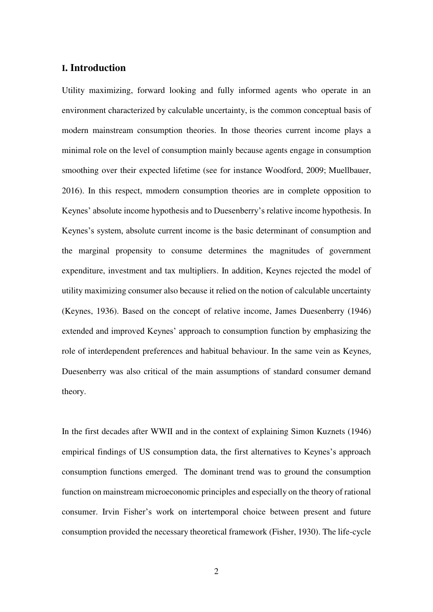## **I. Introduction**

Utility maximizing, forward looking and fully informed agents who operate in an environment characterized by calculable uncertainty, is the common conceptual basis of modern mainstream consumption theories. In those theories current income plays a minimal role on the level of consumption mainly because agents engage in consumption smoothing over their expected lifetime (see for instance Woodford, 2009; Muellbauer, 2016). In this respect, mmodern consumption theories are in complete opposition to Keynes' absolute income hypothesis and to Duesenberry's relative income hypothesis. In Keynes's system, absolute current income is the basic determinant of consumption and the marginal propensity to consume determines the magnitudes of government expenditure, investment and tax multipliers. In addition, Keynes rejected the model of utility maximizing consumer also because it relied on the notion of calculable uncertainty (Keynes, 1936). Based on the concept of relative income, James Duesenberry (1946) extended and improved Keynes' approach to consumption function by emphasizing the role of interdependent preferences and habitual behaviour. In the same vein as Keynes, Duesenberry was also critical of the main assumptions of standard consumer demand theory.

In the first decades after WWII and in the context of explaining Simon Kuznets (1946) empirical findings of US consumption data, the first alternatives to Keynes's approach consumption functions emerged. The dominant trend was to ground the consumption function on mainstream microeconomic principles and especially on the theory of rational consumer. Irvin Fisher's work on intertemporal choice between present and future consumption provided the necessary theoretical framework (Fisher, 1930). The life-cycle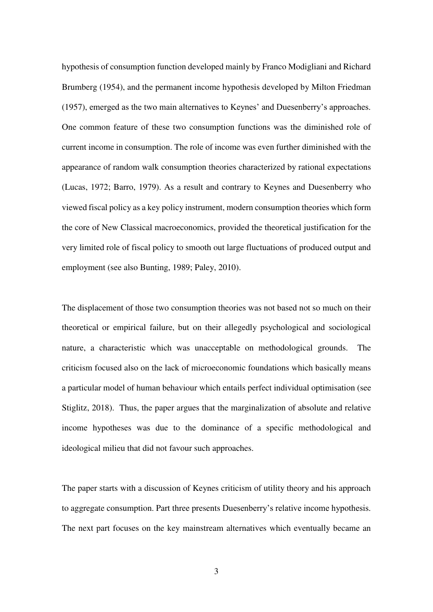hypothesis of consumption function developed mainly by Franco Modigliani and Richard Brumberg (1954), and the permanent income hypothesis developed by Milton Friedman (1957), emerged as the two main alternatives to Keynes' and Duesenberry's approaches. One common feature of these two consumption functions was the diminished role of current income in consumption. The role of income was even further diminished with the appearance of random walk consumption theories characterized by rational expectations (Lucas, 1972; Barro, 1979). As a result and contrary to Keynes and Duesenberry who viewed fiscal policy as a key policy instrument, modern consumption theories which form the core of New Classical macroeconomics, provided the theoretical justification for the very limited role of fiscal policy to smooth out large fluctuations of produced output and employment (see also Bunting, 1989; Paley, 2010).

The displacement of those two consumption theories was not based not so much on their theoretical or empirical failure, but on their allegedly psychological and sociological nature, a characteristic which was unacceptable on methodological grounds. The criticism focused also on the lack of microeconomic foundations which basically means a particular model of human behaviour which entails perfect individual optimisation (see Stiglitz, 2018). Thus, the paper argues that the marginalization of absolute and relative income hypotheses was due to the dominance of a specific methodological and ideological milieu that did not favour such approaches.

The paper starts with a discussion of Keynes criticism of utility theory and his approach to aggregate consumption. Part three presents Duesenberry's relative income hypothesis. The next part focuses on the key mainstream alternatives which eventually became an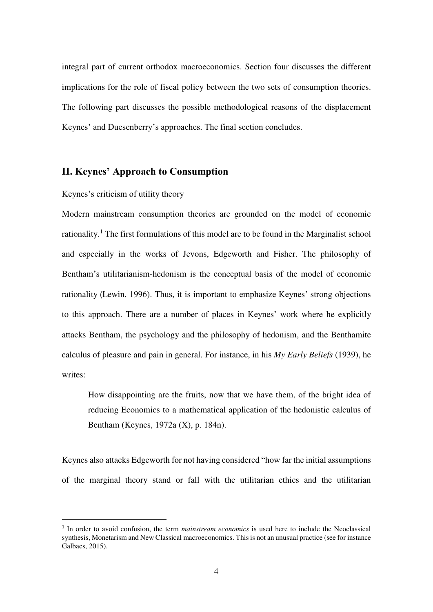integral part of current orthodox macroeconomics. Section four discusses the different implications for the role of fiscal policy between the two sets of consumption theories. The following part discusses the possible methodological reasons of the displacement Keynes' and Duesenberry's approaches. The final section concludes.

# **II. Keynes' Approach to Consumption**

#### Keynes's criticism of utility theory

<u>.</u>

Modern mainstream consumption theories are grounded on the model of economic rationality.<sup>1</sup> The first formulations of this model are to be found in the Marginalist school and especially in the works of Jevons, Edgeworth and Fisher. The philosophy of Bentham's utilitarianism-hedonism is the conceptual basis of the model of economic rationality (Lewin, 1996). Thus, it is important to emphasize Keynes' strong objections to this approach. There are a number of places in Keynes' work where he explicitly attacks Bentham, the psychology and the philosophy of hedonism, and the Benthamite calculus of pleasure and pain in general. For instance, in his *My Early Beliefs* (1939), he writes:

How disappointing are the fruits, now that we have them, of the bright idea of reducing Economics to a mathematical application of the hedonistic calculus of Bentham (Keynes, 1972a (X), p. 184n).

Keynes also attacks Edgeworth for not having considered "how far the initial assumptions of the marginal theory stand or fall with the utilitarian ethics and the utilitarian

<sup>&</sup>lt;sup>1</sup> In order to avoid confusion, the term *mainstream economics* is used here to include the Neoclassical synthesis, Monetarism and New Classical macroeconomics. This is not an unusual practice (see for instance Galbacs, 2015).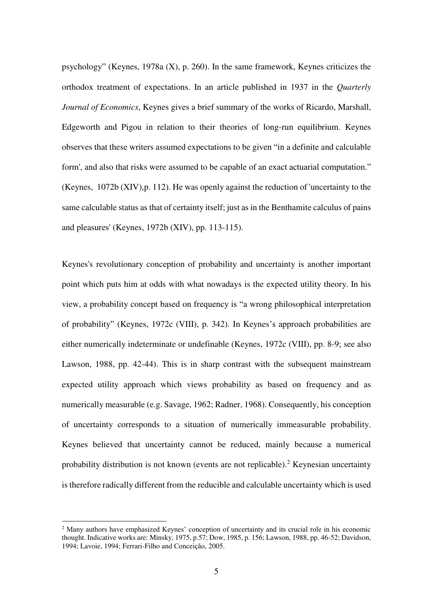psychology" (Keynes, 1978a (X), p. 260). In the same framework, Keynes criticizes the orthodox treatment of expectations. In an article published in 1937 in the *Quarterly Journal of Economics*, Keynes gives a brief summary of the works of Ricardo, Marshall, Edgeworth and Pigou in relation to their theories of long-run equilibrium. Keynes observes that these writers assumed expectations to be given "in a definite and calculable form', and also that risks were assumed to be capable of an exact actuarial computation." (Keynes, 1072b (XIV),p. 112). He was openly against the reduction of 'uncertainty to the same calculable status as that of certainty itself; just as in the Benthamite calculus of pains and pleasures' (Keynes, 1972b (XIV), pp. 113-115).

Keynes's revolutionary conception of probability and uncertainty is another important point which puts him at odds with what nowadays is the expected utility theory. In his view, a probability concept based on frequency is "a wrong philosophical interpretation of probability" (Keynes, 1972c (VIII), p. 342). In Keynes's approach probabilities are either numerically indeterminate or undefinable (Keynes, 1972c (VIII), pp. 8-9; see also Lawson, 1988, pp. 42-44). This is in sharp contrast with the subsequent mainstream expected utility approach which views probability as based on frequency and as numerically measurable (e.g. Savage, 1962; Radner, 1968). Consequently, his conception of uncertainty corresponds to a situation of numerically immeasurable probability. Keynes believed that uncertainty cannot be reduced, mainly because a numerical probability distribution is not known (events are not replicable).<sup>2</sup> Keynesian uncertainty is therefore radically different from the reducible and calculable uncertainty which is used

<u>.</u>

<sup>2</sup> Many authors have emphasized Keynes' conception of uncertainty and its crucial role in his economic thought. Indicative works are: Minsky, 1975, p.57; Dow, 1985, p. 156; Lawson, 1988, pp. 46-52; Davidson, 1994; Lavoie, 1994; Ferrari-Filho and Conceição, 2005.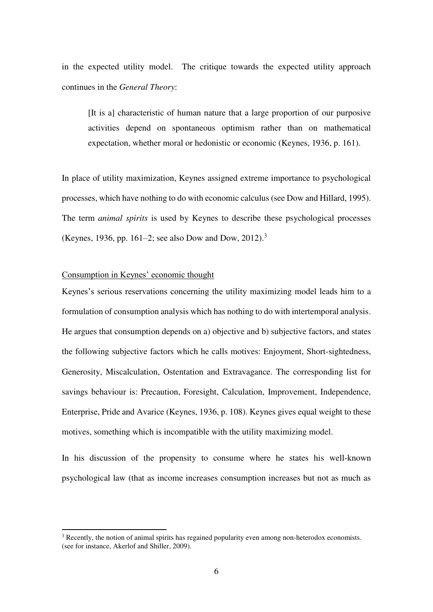in the expected utility model. The critique towards the expected utility approach continues in the *General Theory*:

[It is a] characteristic of human nature that a large proportion of our purposive activities depend on spontaneous optimism rather than on mathematical expectation, whether moral or hedonistic or economic (Keynes, 1936, p. 161).

In place of utility maximization, Keynes assigned extreme importance to psychological processes, which have nothing to do with economic calculus (see Dow and Hillard, 1995). The term *animal spirits* is used by Keynes to describe these psychological processes (Keynes, 1936, pp. 161–2; see also Dow and Dow, 2012).<sup>3</sup>

#### Consumption in Keynes' economic thought

<u>.</u>

Keynes's serious reservations concerning the utility maximizing model leads him to a formulation of consumption analysis which has nothing to do with intertemporal analysis. He argues that consumption depends on a) objective and b) subjective factors, and states the following subjective factors which he calls motives: Enjoyment, Short-sightedness, Generosity, Miscalculation, Ostentation and Extravagance. The corresponding list for savings behaviour is: Precaution, Foresight, Calculation, Improvement, Independence, Enterprise, Pride and Avarice (Keynes, 1936, p. 108). Keynes gives equal weight to these motives, something which is incompatible with the utility maximizing model.

In his discussion of the propensity to consume where he states his well-known psychological law (that as income increases consumption increases but not as much as

<sup>&</sup>lt;sup>3</sup> Recently, the notion of animal spirits has regained popularity even among non-heterodox economists. (see for instance, Akerlof and Shiller, 2009).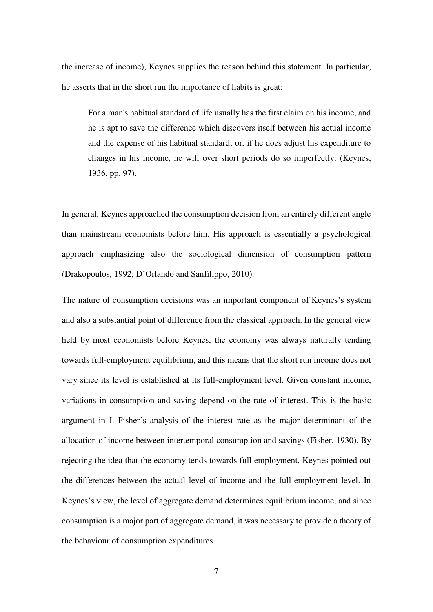the increase of income), Keynes supplies the reason behind this statement. In particular, he asserts that in the short run the importance of habits is great:

For a man's habitual standard of life usually has the first claim on his income, and he is apt to save the difference which discovers itself between his actual income and the expense of his habitual standard; or, if he does adjust his expenditure to changes in his income, he will over short periods do so imperfectly. (Keynes, 1936, pp. 97).

In general, Keynes approached the consumption decision from an entirely different angle than mainstream economists before him. His approach is essentially a psychological approach emphasizing also the sociological dimension of consumption pattern (Drakopoulos, 1992; D'Orlando and Sanfilippo, 2010).

The nature of consumption decisions was an important component of Keynes's system and also a substantial point of difference from the classical approach. In the general view held by most economists before Keynes, the economy was always naturally tending towards full-employment equilibrium, and this means that the short run income does not vary since its level is established at its full-employment level. Given constant income, variations in consumption and saving depend on the rate of interest. This is the basic argument in I. Fisher's analysis of the interest rate as the major determinant of the allocation of income between intertemporal consumption and savings (Fisher, 1930). By rejecting the idea that the economy tends towards full employment, Keynes pointed out the differences between the actual level of income and the full-employment level. In Keynes's view, the level of aggregate demand determines equilibrium income, and since consumption is a major part of aggregate demand, it was necessary to provide a theory of the behaviour of consumption expenditures.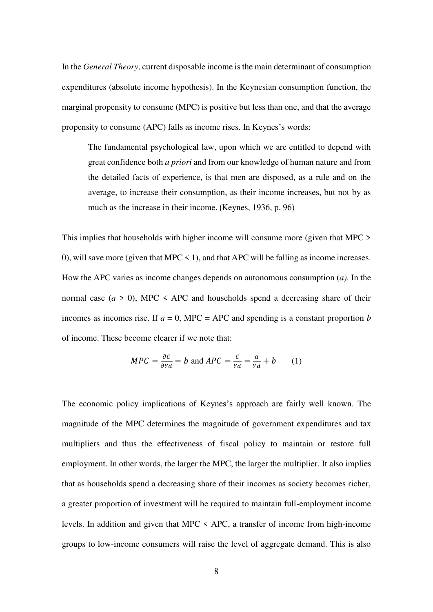In the *General Theory*, current disposable income is the main determinant of consumption expenditures (absolute income hypothesis). In the Keynesian consumption function, the marginal propensity to consume (MPC) is positive but less than one, and that the average propensity to consume (APC) falls as income rises. In Keynes's words:

The fundamental psychological law, upon which we are entitled to depend with great confidence both *a priori* and from our knowledge of human nature and from the detailed facts of experience, is that men are disposed, as a rule and on the average, to increase their consumption, as their income increases, but not by as much as the increase in their income. (Keynes, 1936, p. 96)

This implies that households with higher income will consume more (given that MPC > 0), will save more (given that MPC  $\leq$  1), and that APC will be falling as income increases. How the APC varies as income changes depends on autonomous consumption (*a)*. In the normal case  $(a > 0)$ , MPC  $\leq$  APC and households spend a decreasing share of their incomes as incomes rise. If  $a = 0$ , MPC = APC and spending is a constant proportion *b* of income. These become clearer if we note that:

$$
MPC = \frac{\partial C}{\partial Yd} = b \text{ and } APC = \frac{C}{Yd} = \frac{a}{Yd} + b \qquad (1)
$$

The economic policy implications of Keynes's approach are fairly well known. The magnitude of the MPC determines the magnitude of government expenditures and tax multipliers and thus the effectiveness of fiscal policy to maintain or restore full employment. In other words, the larger the MPC, the larger the multiplier. It also implies that as households spend a decreasing share of their incomes as society becomes richer, a greater proportion of investment will be required to maintain full-employment income levels. In addition and given that MPC < APC, a transfer of income from high-income groups to low-income consumers will raise the level of aggregate demand. This is also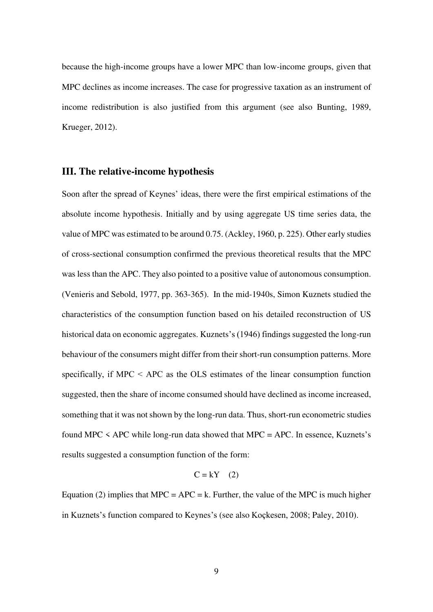because the high-income groups have a lower MPC than low-income groups, given that MPC declines as income increases. The case for progressive taxation as an instrument of income redistribution is also justified from this argument (see also Bunting, 1989, Krueger, 2012).

### **III. The relative-income hypothesis**

Soon after the spread of Keynes' ideas, there were the first empirical estimations of the absolute income hypothesis. Initially and by using aggregate US time series data, the value of MPC was estimated to be around 0.75. (Ackley, 1960, p. 225). Other early studies of cross-sectional consumption confirmed the previous theoretical results that the MPC was less than the APC. They also pointed to a positive value of autonomous consumption. (Venieris and Sebold, 1977, pp. 363-365). In the mid-1940s, Simon Kuznets studied the characteristics of the consumption function based on his detailed reconstruction of US historical data on economic aggregates. Kuznets's (1946) findings suggested the long-run behaviour of the consumers might differ from their short-run consumption patterns. More specifically, if MPC < APC as the OLS estimates of the linear consumption function suggested, then the share of income consumed should have declined as income increased, something that it was not shown by the long-run data. Thus, short-run econometric studies found MPC  $\leq$  APC while long-run data showed that MPC = APC. In essence, Kuznets's results suggested a consumption function of the form:

$$
C = kY \quad (2)
$$

Equation (2) implies that MPC = APC = k. Further, the value of the MPC is much higher in Kuznets's function compared to Keynes's (see also Koçkesen, 2008; Paley, 2010).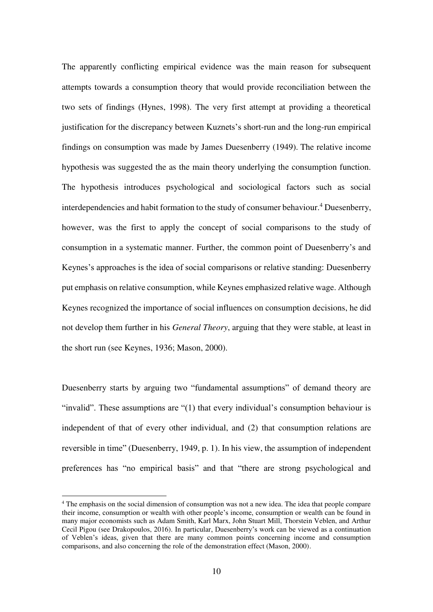The apparently conflicting empirical evidence was the main reason for subsequent attempts towards a consumption theory that would provide reconciliation between the two sets of findings (Hynes, 1998). The very first attempt at providing a theoretical justification for the discrepancy between Kuznets's short-run and the long-run empirical findings on consumption was made by James Duesenberry (1949). The relative income hypothesis was suggested the as the main theory underlying the consumption function. The hypothesis introduces psychological and sociological factors such as social interdependencies and habit formation to the study of consumer behaviour.<sup>4</sup> Duesenberry, however, was the first to apply the concept of social comparisons to the study of consumption in a systematic manner. Further, the common point of Duesenberry's and Keynes's approaches is the idea of social comparisons or relative standing: Duesenberry put emphasis on relative consumption, while Keynes emphasized relative wage. Although Keynes recognized the importance of social influences on consumption decisions, he did not develop them further in his *General Theory*, arguing that they were stable, at least in the short run (see Keynes, 1936; Mason, 2000).

Duesenberry starts by arguing two "fundamental assumptions" of demand theory are "invalid". These assumptions are "(1) that every individual's consumption behaviour is independent of that of every other individual, and (2) that consumption relations are reversible in time" (Duesenberry, 1949, p. 1). In his view, the assumption of independent preferences has "no empirical basis" and that "there are strong psychological and

<u>.</u>

<sup>&</sup>lt;sup>4</sup> The emphasis on the social dimension of consumption was not a new idea. The idea that people compare their income, consumption or wealth with other people's income, consumption or wealth can be found in many major economists such as Adam Smith, Karl Marx, John Stuart Mill, Thorstein Veblen, and Arthur Cecil Pigou (see Drakopoulos, 2016). In particular, Duesenberry's work can be viewed as a continuation of Veblen's ideas, given that there are many common points concerning income and consumption comparisons, and also concerning the role of the demonstration effect (Mason, 2000).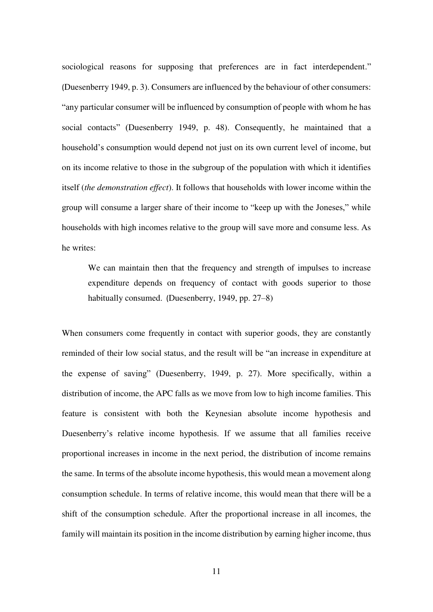sociological reasons for supposing that preferences are in fact interdependent." (Duesenberry 1949, p. 3). Consumers are influenced by the behaviour of other consumers: "any particular consumer will be influenced by consumption of people with whom he has social contacts" (Duesenberry 1949, p. 48). Consequently, he maintained that a household's consumption would depend not just on its own current level of income, but on its income relative to those in the subgroup of the population with which it identifies itself (*the demonstration effect*). It follows that households with lower income within the group will consume a larger share of their income to "keep up with the Joneses," while households with high incomes relative to the group will save more and consume less. As he writes:

We can maintain then that the frequency and strength of impulses to increase expenditure depends on frequency of contact with goods superior to those habitually consumed. (Duesenberry, 1949, pp. 27–8)

When consumers come frequently in contact with superior goods, they are constantly reminded of their low social status, and the result will be "an increase in expenditure at the expense of saving" (Duesenberry, 1949, p. 27). More specifically, within a distribution of income, the APC falls as we move from low to high income families. This feature is consistent with both the Keynesian absolute income hypothesis and Duesenberry's relative income hypothesis. If we assume that all families receive proportional increases in income in the next period, the distribution of income remains the same. In terms of the absolute income hypothesis, this would mean a movement along consumption schedule. In terms of relative income, this would mean that there will be a shift of the consumption schedule. After the proportional increase in all incomes, the family will maintain its position in the income distribution by earning higher income, thus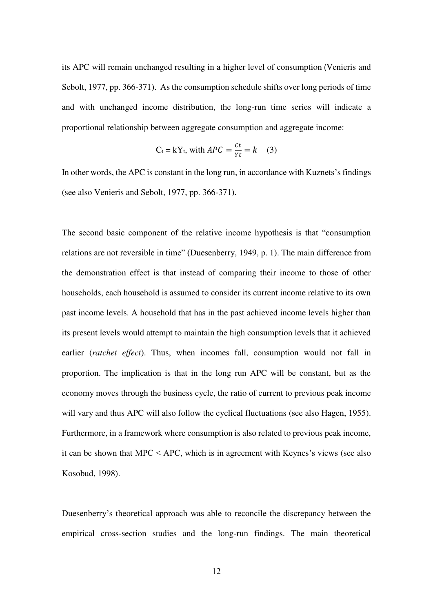its APC will remain unchanged resulting in a higher level of consumption (Venieris and Sebolt, 1977, pp. 366-371). As the consumption schedule shifts over long periods of time and with unchanged income distribution, the long-run time series will indicate a proportional relationship between aggregate consumption and aggregate income:

$$
C_t = kY_t, \text{ with } APC = \frac{ct}{\gamma t} = k \quad (3)
$$

In other words, the APC is constant in the long run, in accordance with Kuznets's findings (see also Venieris and Sebolt, 1977, pp. 366-371).

The second basic component of the relative income hypothesis is that "consumption relations are not reversible in time" (Duesenberry, 1949, p. 1). The main difference from the demonstration effect is that instead of comparing their income to those of other households, each household is assumed to consider its current income relative to its own past income levels. A household that has in the past achieved income levels higher than its present levels would attempt to maintain the high consumption levels that it achieved earlier (*ratchet effect*). Thus, when incomes fall, consumption would not fall in proportion. The implication is that in the long run APC will be constant, but as the economy moves through the business cycle, the ratio of current to previous peak income will vary and thus APC will also follow the cyclical fluctuations (see also Hagen, 1955). Furthermore, in a framework where consumption is also related to previous peak income, it can be shown that MPC < APC, which is in agreement with Keynes's views (see also Kosobud, 1998).

Duesenberry's theoretical approach was able to reconcile the discrepancy between the empirical cross-section studies and the long-run findings. The main theoretical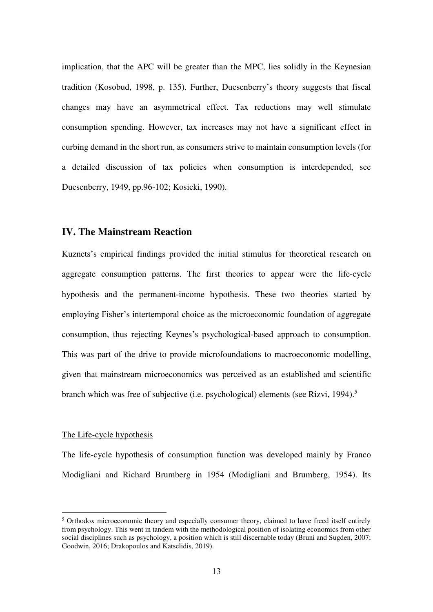implication, that the APC will be greater than the MPC, lies solidly in the Keynesian tradition (Kosobud, 1998, p. 135). Further, Duesenberry's theory suggests that fiscal changes may have an asymmetrical effect. Tax reductions may well stimulate consumption spending. However, tax increases may not have a significant effect in curbing demand in the short run, as consumers strive to maintain consumption levels (for a detailed discussion of tax policies when consumption is interdepended, see Duesenberry, 1949, pp.96-102; Kosicki, 1990).

#### **IV. The Mainstream Reaction**

Kuznets's empirical findings provided the initial stimulus for theoretical research on aggregate consumption patterns. The first theories to appear were the life-cycle hypothesis and the permanent-income hypothesis. These two theories started by employing Fisher's intertemporal choice as the microeconomic foundation of aggregate consumption, thus rejecting Keynes's psychological-based approach to consumption. This was part of the drive to provide microfoundations to macroeconomic modelling, given that mainstream microeconomics was perceived as an established and scientific branch which was free of subjective (i.e. psychological) elements (see Rizvi, 1994).<sup>5</sup>

#### The Life-cycle hypothesis

-

The life-cycle hypothesis of consumption function was developed mainly by Franco Modigliani and Richard Brumberg in 1954 (Modigliani and Brumberg, 1954). Its

<sup>&</sup>lt;sup>5</sup> Orthodox microeconomic theory and especially consumer theory, claimed to have freed itself entirely from psychology. This went in tandem with the methodological position of isolating economics from other social disciplines such as psychology, a position which is still discernable today (Bruni and Sugden, 2007; Goodwin, 2016; Drakopoulos and Katselidis, 2019).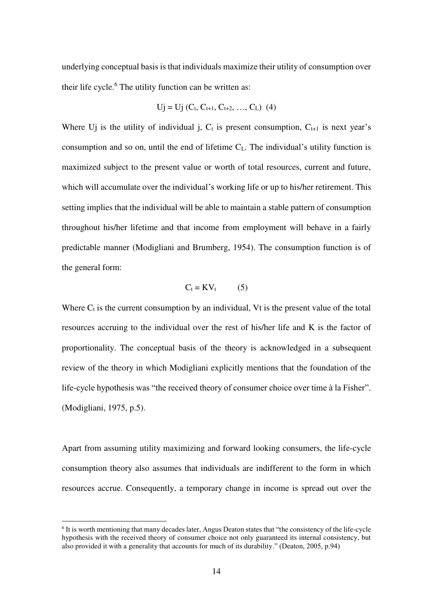underlying conceptual basis is that individuals maximize their utility of consumption over their life cycle.<sup>6</sup> The utility function can be written as:

$$
Uj = Uj (C_t, C_{t+1}, C_{t+2}, ..., C_L) (4)
$$

Where Uj is the utility of individual j,  $C_t$  is present consumption,  $C_{t+1}$  is next year's consumption and so on, until the end of lifetime  $C_L$ . The individual's utility function is maximized subject to the present value or worth of total resources, current and future, which will accumulate over the individual's working life or up to his/her retirement. This setting implies that the individual will be able to maintain a stable pattern of consumption throughout his/her lifetime and that income from employment will behave in a fairly predictable manner (Modigliani and Brumberg, 1954). The consumption function is of the general form:

$$
C_t = KV_t \tag{5}
$$

Where  $C_t$  is the current consumption by an individual, Vt is the present value of the total resources accruing to the individual over the rest of his/her life and K is the factor of proportionality. The conceptual basis of the theory is acknowledged in a subsequent review of the theory in which Modigliani explicitly mentions that the foundation of the life-cycle hypothesis was "the received theory of consumer choice over time à la Fisher". (Modigliani, 1975, p.5).

Apart from assuming utility maximizing and forward looking consumers, the life-cycle consumption theory also assumes that individuals are indifferent to the form in which resources accrue. Consequently, a temporary change in income is spread out over the

<u>.</u>

<sup>&</sup>lt;sup>6</sup> It is worth mentioning that many decades later, Angus Deaton states that "the consistency of the life-cycle hypothesis with the received theory of consumer choice not only guaranteed its internal consistency, but also provided it with a generality that accounts for much of its durability." (Deaton, 2005, p.94)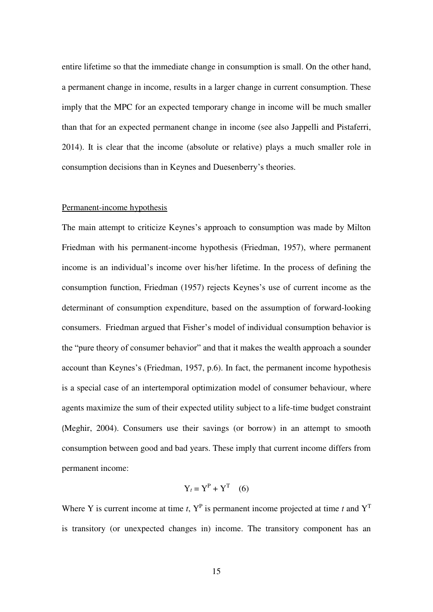entire lifetime so that the immediate change in consumption is small. On the other hand, a permanent change in income, results in a larger change in current consumption. These imply that the MPC for an expected temporary change in income will be much smaller than that for an expected permanent change in income (see also Jappelli and Pistaferri, 2014). It is clear that the income (absolute or relative) plays a much smaller role in consumption decisions than in Keynes and Duesenberry's theories.

#### Permanent-income hypothesis

The main attempt to criticize Keynes's approach to consumption was made by Milton Friedman with his permanent-income hypothesis (Friedman, 1957), where permanent income is an individual's income over his/her lifetime. In the process of defining the consumption function, Friedman (1957) rejects Keynes's use of current income as the determinant of consumption expenditure, based on the assumption of forward-looking consumers. Friedman argued that Fisher's model of individual consumption behavior is the "pure theory of consumer behavior" and that it makes the wealth approach a sounder account than Keynes's (Friedman, 1957, p.6). In fact, the permanent income hypothesis is a special case of an intertemporal optimization model of consumer behaviour, where agents maximize the sum of their expected utility subject to a life-time budget constraint (Meghir, 2004). Consumers use their savings (or borrow) in an attempt to smooth consumption between good and bad years. These imply that current income differs from permanent income:

$$
Y_t = Y^P + Y^T \quad (6)
$$

Where Y is current income at time  $t$ ,  $Y<sup>P</sup>$  is permanent income projected at time  $t$  and  $Y<sup>T</sup>$ is transitory (or unexpected changes in) income. The transitory component has an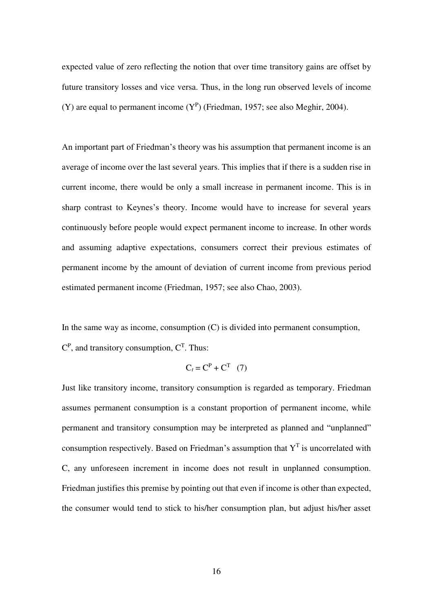expected value of zero reflecting the notion that over time transitory gains are offset by future transitory losses and vice versa. Thus, in the long run observed levels of income (Y) are equal to permanent income  $(Y^P)$  (Friedman, 1957; see also Meghir, 2004).

An important part of Friedman's theory was his assumption that permanent income is an average of income over the last several years. This implies that if there is a sudden rise in current income, there would be only a small increase in permanent income. This is in sharp contrast to Keynes's theory. Income would have to increase for several years continuously before people would expect permanent income to increase. In other words and assuming adaptive expectations, consumers correct their previous estimates of permanent income by the amount of deviation of current income from previous period estimated permanent income (Friedman, 1957; see also Chao, 2003).

In the same way as income, consumption (C) is divided into permanent consumption,  $C<sup>P</sup>$ , and transitory consumption,  $C<sup>T</sup>$ . Thus:

$$
C_t = C^P + C^T \quad (7)
$$

Just like transitory income, transitory consumption is regarded as temporary. Friedman assumes permanent consumption is a constant proportion of permanent income, while permanent and transitory consumption may be interpreted as planned and "unplanned" consumption respectively. Based on Friedman's assumption that  $Y<sup>T</sup>$  is uncorrelated with C, any unforeseen increment in income does not result in unplanned consumption. Friedman justifies this premise by pointing out that even if income is other than expected, the consumer would tend to stick to his/her consumption plan, but adjust his/her asset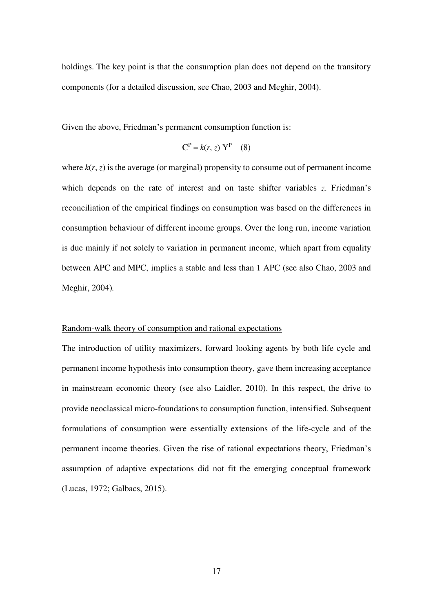holdings. The key point is that the consumption plan does not depend on the transitory components (for a detailed discussion, see Chao, 2003 and Meghir, 2004).

Given the above, Friedman's permanent consumption function is:

$$
CP = k(r, z) YP (8)
$$

where  $k(r, z)$  is the average (or marginal) propensity to consume out of permanent income which depends on the rate of interest and on taste shifter variables *z*. Friedman's reconciliation of the empirical findings on consumption was based on the differences in consumption behaviour of different income groups. Over the long run, income variation is due mainly if not solely to variation in permanent income, which apart from equality between APC and MPC, implies a stable and less than 1 APC (see also Chao, 2003 and Meghir, 2004)*.* 

#### Random-walk theory of consumption and rational expectations

The introduction of utility maximizers, forward looking agents by both life cycle and permanent income hypothesis into consumption theory, gave them increasing acceptance in mainstream economic theory (see also Laidler, 2010). In this respect, the drive to provide neoclassical micro-foundations to consumption function, intensified. Subsequent formulations of consumption were essentially extensions of the life-cycle and of the permanent income theories. Given the rise of rational expectations theory, Friedman's assumption of adaptive expectations did not fit the emerging conceptual framework (Lucas, 1972; Galbacs, 2015).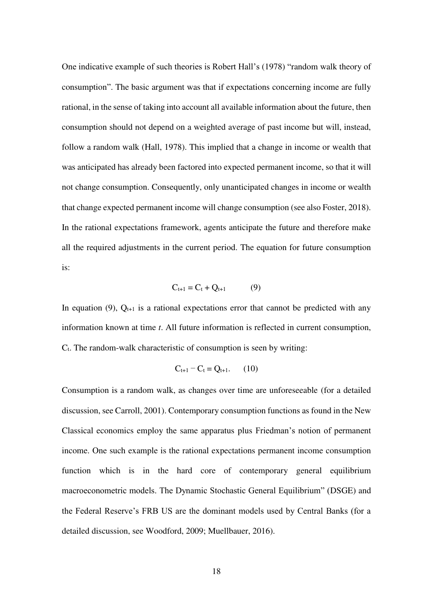One indicative example of such theories is Robert Hall's (1978) "random walk theory of consumption". The basic argument was that if expectations concerning income are fully rational, in the sense of taking into account all available information about the future, then consumption should not depend on a weighted average of past income but will, instead, follow a random walk (Hall, 1978). This implied that a change in income or wealth that was anticipated has already been factored into expected permanent income, so that it will not change consumption. Consequently, only unanticipated changes in income or wealth that change expected permanent income will change consumption (see also Foster, 2018). In the rational expectations framework, agents anticipate the future and therefore make all the required adjustments in the current period. The equation for future consumption is:

$$
C_{t+1} = C_t + Q_{t+1} \tag{9}
$$

In equation (9),  $Q_{t+1}$  is a rational expectations error that cannot be predicted with any information known at time *t*. All future information is reflected in current consumption,  $C_t$ . The random-walk characteristic of consumption is seen by writing:

$$
C_{t+1} - C_t = Q_{t+1}.
$$
 (10)

Consumption is a random walk, as changes over time are unforeseeable (for a detailed discussion, see Carroll, 2001). Contemporary consumption functions as found in the New Classical economics employ the same apparatus plus Friedman's notion of permanent income. One such example is the rational expectations permanent income consumption function which is in the hard core of contemporary general equilibrium macroeconometric models. The Dynamic Stochastic General Equilibrium" (DSGE) and the Federal Reserve's FRB US are the dominant models used by Central Banks (for a detailed discussion, see Woodford, 2009; Muellbauer, 2016).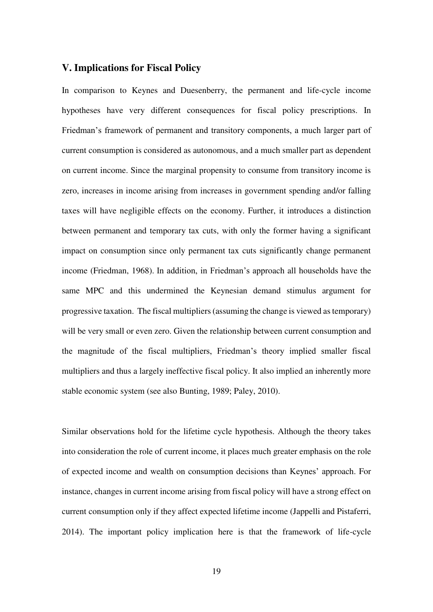### **V. Implications for Fiscal Policy**

In comparison to Keynes and Duesenberry, the permanent and life-cycle income hypotheses have very different consequences for fiscal policy prescriptions. In Friedman's framework of permanent and transitory components, a much larger part of current consumption is considered as autonomous, and a much smaller part as dependent on current income. Since the marginal propensity to consume from transitory income is zero, increases in income arising from increases in government spending and/or falling taxes will have negligible effects on the economy. Further, it introduces a distinction between permanent and temporary tax cuts, with only the former having a significant impact on consumption since only permanent tax cuts significantly change permanent income (Friedman, 1968). In addition, in Friedman's approach all households have the same MPC and this undermined the Keynesian demand stimulus argument for progressive taxation. The fiscal multipliers (assuming the change is viewed as temporary) will be very small or even zero. Given the relationship between current consumption and the magnitude of the fiscal multipliers, Friedman's theory implied smaller fiscal multipliers and thus a largely ineffective fiscal policy. It also implied an inherently more stable economic system (see also Bunting, 1989; Paley, 2010).

Similar observations hold for the lifetime cycle hypothesis. Although the theory takes into consideration the role of current income, it places much greater emphasis on the role of expected income and wealth on consumption decisions than Keynes' approach. For instance, changes in current income arising from fiscal policy will have a strong effect on current consumption only if they affect expected lifetime income (Jappelli and Pistaferri, 2014). The important policy implication here is that the framework of life-cycle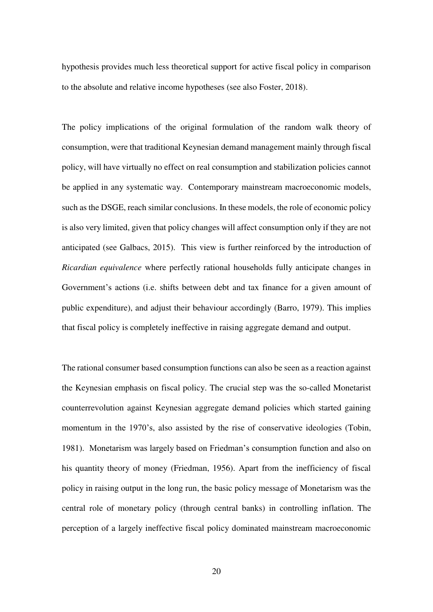hypothesis provides much less theoretical support for active fiscal policy in comparison to the absolute and relative income hypotheses (see also Foster, 2018).

The policy implications of the original formulation of the random walk theory of consumption, were that traditional Keynesian demand management mainly through fiscal policy, will have virtually no effect on real consumption and stabilization policies cannot be applied in any systematic way. Contemporary mainstream macroeconomic models, such as the DSGE, reach similar conclusions. In these models, the role of economic policy is also very limited, given that policy changes will affect consumption only if they are not anticipated (see Galbacs, 2015). This view is further reinforced by the introduction of *Ricardian equivalence* where perfectly rational households fully anticipate changes in Government's actions (i.e. shifts between debt and tax finance for a given amount of public expenditure), and adjust their behaviour accordingly (Barro, 1979). This implies that fiscal policy is completely ineffective in raising aggregate demand and output.

The rational consumer based consumption functions can also be seen as a reaction against the Keynesian emphasis on fiscal policy. The crucial step was the so-called Monetarist counterrevolution against Keynesian aggregate demand policies which started gaining momentum in the 1970's, also assisted by the rise of conservative ideologies (Tobin, 1981). Monetarism was largely based on Friedman's consumption function and also on his quantity theory of money (Friedman, 1956). Apart from the inefficiency of fiscal policy in raising output in the long run, the basic policy message of Monetarism was the central role of monetary policy (through central banks) in controlling inflation. The perception of a largely ineffective fiscal policy dominated mainstream macroeconomic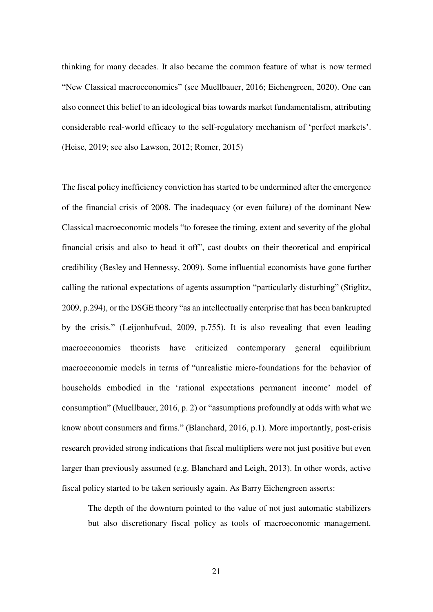thinking for many decades. It also became the common feature of what is now termed "New Classical macroeconomics" (see Muellbauer, 2016; Eichengreen, 2020). One can also connect this belief to an ideological bias towards market fundamentalism, attributing considerable real-world efficacy to the self-regulatory mechanism of 'perfect markets'. (Heise, 2019; see also Lawson, 2012; Romer, 2015)

The fiscal policy inefficiency conviction has started to be undermined after the emergence of the financial crisis of 2008. The inadequacy (or even failure) of the dominant New Classical macroeconomic models "to foresee the timing, extent and severity of the global financial crisis and also to head it off", cast doubts on their theoretical and empirical credibility (Besley and Hennessy, 2009). Some influential economists have gone further calling the rational expectations of agents assumption "particularly disturbing" (Stiglitz, 2009, p.294), or the DSGE theory "as an intellectually enterprise that has been bankrupted by the crisis." (Leijonhufvud, 2009, p.755). It is also revealing that even leading macroeconomics theorists have criticized contemporary general equilibrium macroeconomic models in terms of "unrealistic micro-foundations for the behavior of households embodied in the 'rational expectations permanent income' model of consumption" (Muellbauer, 2016, p. 2) or "assumptions profoundly at odds with what we know about consumers and firms." (Blanchard, 2016, p.1). More importantly, post-crisis research provided strong indications that fiscal multipliers were not just positive but even larger than previously assumed (e.g. Blanchard and Leigh, 2013). In other words, active fiscal policy started to be taken seriously again. As Barry Eichengreen asserts:

The depth of the downturn pointed to the value of not just automatic stabilizers but also discretionary fiscal policy as tools of macroeconomic management.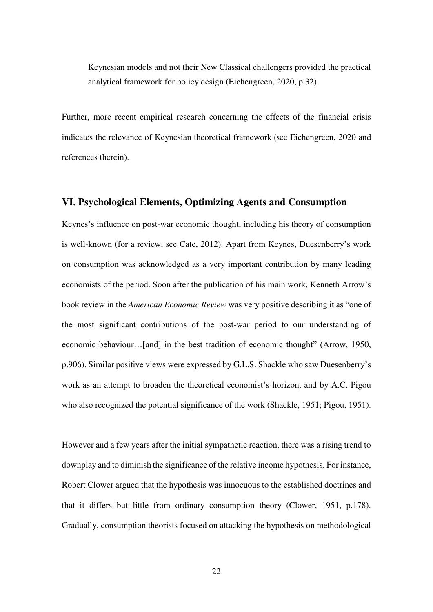Keynesian models and not their New Classical challengers provided the practical analytical framework for policy design (Eichengreen, 2020, p.32).

Further, more recent empirical research concerning the effects of the financial crisis indicates the relevance of Keynesian theoretical framework (see Eichengreen, 2020 and references therein).

#### **VI. Psychological Elements, Optimizing Agents and Consumption**

Keynes's influence on post-war economic thought, including his theory of consumption is well-known (for a review, see Cate, 2012). Apart from Keynes, Duesenberry's work on consumption was acknowledged as a very important contribution by many leading economists of the period. Soon after the publication of his main work, Kenneth Arrow's book review in the *American Economic Review* was very positive describing it as "one of the most significant contributions of the post-war period to our understanding of economic behaviour…[and] in the best tradition of economic thought" (Arrow, 1950, p.906). Similar positive views were expressed by G.L.S. Shackle who saw Duesenberry's work as an attempt to broaden the theoretical economist's horizon, and by A.C. Pigou who also recognized the potential significance of the work (Shackle, 1951; Pigou, 1951).

However and a few years after the initial sympathetic reaction, there was a rising trend to downplay and to diminish the significance of the relative income hypothesis. For instance, Robert Clower argued that the hypothesis was innocuous to the established doctrines and that it differs but little from ordinary consumption theory (Clower, 1951, p.178). Gradually, consumption theorists focused on attacking the hypothesis on methodological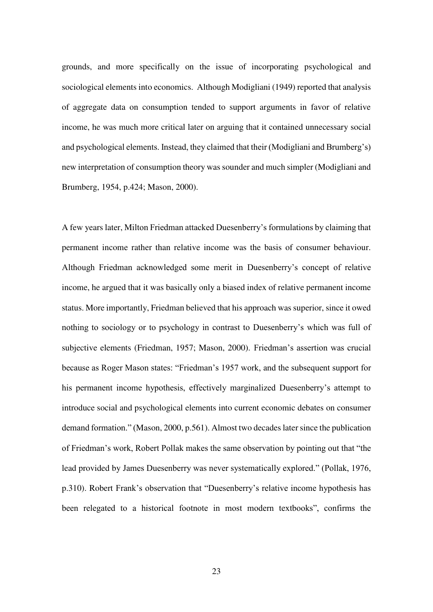grounds, and more specifically on the issue of incorporating psychological and sociological elements into economics. Although Modigliani (1949) reported that analysis of aggregate data on consumption tended to support arguments in favor of relative income, he was much more critical later on arguing that it contained unnecessary social and psychological elements. Instead, they claimed that their (Modigliani and Brumberg's) new interpretation of consumption theory was sounder and much simpler (Modigliani and Brumberg, 1954, p.424; Mason, 2000).

A few years later, Milton Friedman attacked Duesenberry's formulations by claiming that permanent income rather than relative income was the basis of consumer behaviour. Although Friedman acknowledged some merit in Duesenberry's concept of relative income, he argued that it was basically only a biased index of relative permanent income status. More importantly, Friedman believed that his approach was superior, since it owed nothing to sociology or to psychology in contrast to Duesenberry's which was full of subjective elements (Friedman, 1957; Mason, 2000). Friedman's assertion was crucial because as Roger Mason states: "Friedman's 1957 work, and the subsequent support for his permanent income hypothesis, effectively marginalized Duesenberry's attempt to introduce social and psychological elements into current economic debates on consumer demand formation." (Mason, 2000, p.561). Almost two decades later since the publication of Friedman's work, Robert Pollak makes the same observation by pointing out that "the lead provided by James Duesenberry was never systematically explored." (Pollak, 1976, p.310). Robert Frank's observation that "Duesenberry's relative income hypothesis has been relegated to a historical footnote in most modern textbooks", confirms the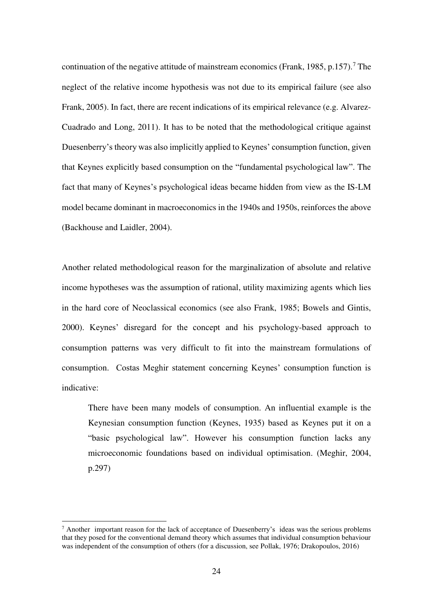continuation of the negative attitude of mainstream economics (Frank, 1985, p.157).<sup>7</sup> The neglect of the relative income hypothesis was not due to its empirical failure (see also Frank, 2005). In fact, there are recent indications of its empirical relevance (e.g. Alvarez-Cuadrado and Long, 2011). It has to be noted that the methodological critique against Duesenberry's theory was also implicitly applied to Keynes' consumption function, given that Keynes explicitly based consumption on the "fundamental psychological law". The fact that many of Keynes's psychological ideas became hidden from view as the IS-LM model became dominant in macroeconomics in the 1940s and 1950s, reinforces the above (Backhouse and Laidler, 2004).

Another related methodological reason for the marginalization of absolute and relative income hypotheses was the assumption of rational, utility maximizing agents which lies in the hard core of Neoclassical economics (see also Frank, 1985; Bowels and Gintis, 2000). Keynes' disregard for the concept and his psychology-based approach to consumption patterns was very difficult to fit into the mainstream formulations of consumption. Costas Meghir statement concerning Keynes' consumption function is indicative:

There have been many models of consumption. An influential example is the Keynesian consumption function (Keynes, 1935) based as Keynes put it on a "basic psychological law". However his consumption function lacks any microeconomic foundations based on individual optimisation. (Meghir, 2004, p.297)

<u>.</u>

<sup>&</sup>lt;sup>7</sup> Another important reason for the lack of acceptance of Duesenberry's ideas was the serious problems that they posed for the conventional demand theory which assumes that individual consumption behaviour was independent of the consumption of others (for a discussion, see Pollak, 1976; Drakopoulos, 2016)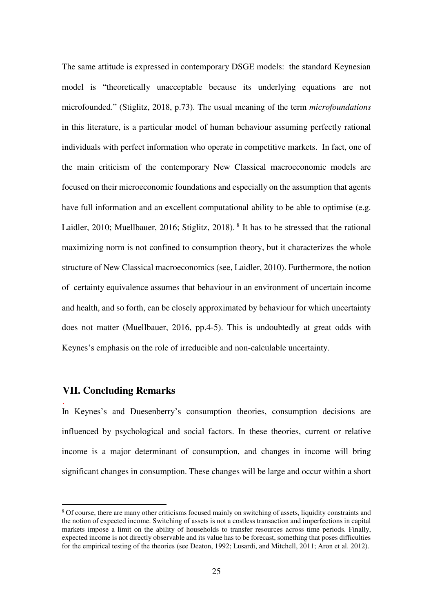The same attitude is expressed in contemporary DSGE models: the standard Keynesian model is "theoretically unacceptable because its underlying equations are not microfounded." (Stiglitz, 2018, p.73). The usual meaning of the term *microfoundations* in this literature, is a particular model of human behaviour assuming perfectly rational individuals with perfect information who operate in competitive markets. In fact, one of the main criticism of the contemporary New Classical macroeconomic models are focused on their microeconomic foundations and especially on the assumption that agents have full information and an excellent computational ability to be able to optimise (e.g. Laidler, 2010; Muellbauer, 2016; Stiglitz, 2018). <sup>8</sup> It has to be stressed that the rational maximizing norm is not confined to consumption theory, but it characterizes the whole structure of New Classical macroeconomics (see, Laidler, 2010). Furthermore, the notion of certainty equivalence assumes that behaviour in an environment of uncertain income and health, and so forth, can be closely approximated by behaviour for which uncertainty does not matter (Muellbauer, 2016, pp.4-5). This is undoubtedly at great odds with Keynes's emphasis on the role of irreducible and non-calculable uncertainty.

#### **VII. Concluding Remarks**

.

-

In Keynes's and Duesenberry's consumption theories, consumption decisions are influenced by psychological and social factors. In these theories, current or relative income is a major determinant of consumption, and changes in income will bring significant changes in consumption. These changes will be large and occur within a short

<sup>&</sup>lt;sup>8</sup> Of course, there are many other criticisms focused mainly on switching of assets, liquidity constraints and the notion of expected income. Switching of assets is not a costless transaction and imperfections in capital markets impose a limit on the ability of households to transfer resources across time periods. Finally, expected income is not directly observable and its value has to be forecast, something that poses difficulties for the empirical testing of the theories (see Deaton, 1992; Lusardi, and Mitchell, 2011; Aron et al. 2012).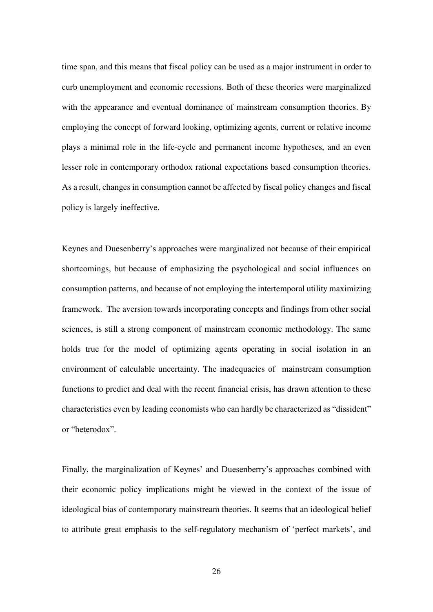time span, and this means that fiscal policy can be used as a major instrument in order to curb unemployment and economic recessions. Both of these theories were marginalized with the appearance and eventual dominance of mainstream consumption theories. By employing the concept of forward looking, optimizing agents, current or relative income plays a minimal role in the life-cycle and permanent income hypotheses, and an even lesser role in contemporary orthodox rational expectations based consumption theories. As a result, changes in consumption cannot be affected by fiscal policy changes and fiscal policy is largely ineffective.

Keynes and Duesenberry's approaches were marginalized not because of their empirical shortcomings, but because of emphasizing the psychological and social influences on consumption patterns, and because of not employing the intertemporal utility maximizing framework. The aversion towards incorporating concepts and findings from other social sciences, is still a strong component of mainstream economic methodology. The same holds true for the model of optimizing agents operating in social isolation in an environment of calculable uncertainty. The inadequacies of mainstream consumption functions to predict and deal with the recent financial crisis, has drawn attention to these characteristics even by leading economists who can hardly be characterized as "dissident" or "heterodox".

Finally, the marginalization of Keynes' and Duesenberry's approaches combined with their economic policy implications might be viewed in the context of the issue of ideological bias of contemporary mainstream theories. It seems that an ideological belief to attribute great emphasis to the self-regulatory mechanism of 'perfect markets', and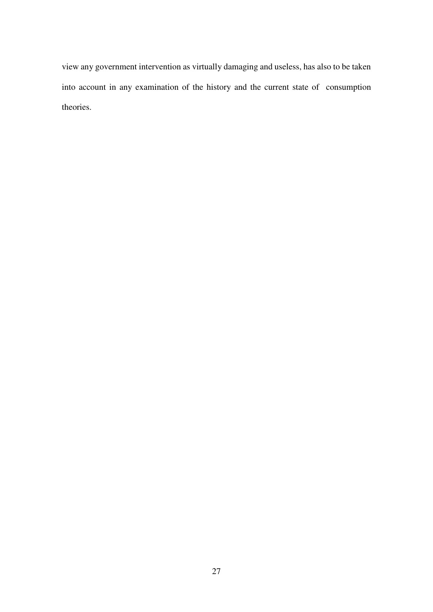view any government intervention as virtually damaging and useless, has also to be taken into account in any examination of the history and the current state of consumption theories.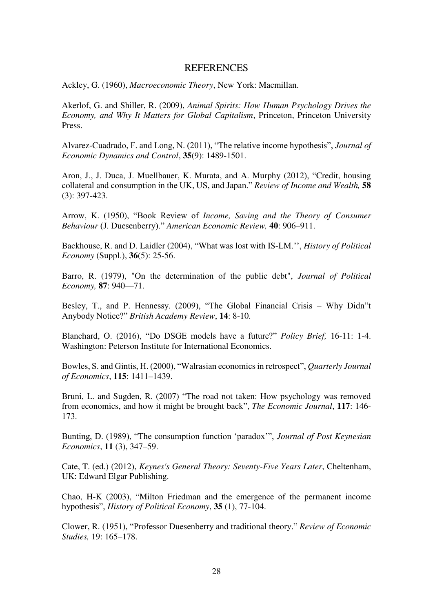#### **REFERENCES**

Ackley, G. (1960), *Macroeconomic Theory*, New York: Macmillan.

Akerlof, G. and Shiller, R. (2009), *Animal Spirits: How Human Psychology Drives the Economy, and Why It Matters for Global Capitalism*, Princeton, Princeton University Press.

Alvarez-Cuadrado, F. and Long, N. (2011), "The relative income hypothesis", *Journal of Economic Dynamics and Control*, **35**(9): 1489-1501.

Aron, J., J. Duca, J. Muellbauer, K. Murata, and A. Murphy (2012), "Credit, housing collateral and consumption in the UK, US, and Japan." *Review of Income and Wealth,* **58** (3): 397-423.

Arrow, K. (1950), "Book Review of *Income, Saving and the Theory of Consumer Behaviour* (J. Duesenberry)." *American Economic Review,* **40**: 906–911.

Backhouse, R. and D. Laidler (2004), "What was lost with IS-LM.'', *History of Political Economy* (Suppl.), **36**(5): 25-56.

Barro, R. (1979), "On the determination of the public debt", *Journal of Political Economy,* **87**: 940—71.

Besley, T., and P. Hennessy. (2009), "The Global Financial Crisis – Why Didn"t Anybody Notice?" *British Academy Review*, **14**: 8-10.

Blanchard, O. (2016), "Do DSGE models have a future?" *Policy Brief,* 16-11: 1-4. Washington: Peterson Institute for International Economics.

Bowles, S. and Gintis, H. (2000), "Walrasian economics in retrospect", *Quarterly Journal of Economics*, **115**: 1411–1439.

Bruni, L. and Sugden, R. (2007) "The road not taken: How psychology was removed from economics, and how it might be brought back", *The Economic Journal*, **117**: 146- 173.

Bunting, D. (1989), "The consumption function 'paradox'", *Journal of Post Keynesian Economics*, **11** (3), 347–59.

Cate, T. (ed.) (2012), *Keynes's General Theory: Seventy-Five Years Later*, Cheltenham, UK: Edward Elgar Publishing.

Chao, H-K (2003), "Milton Friedman and the emergence of the permanent income hypothesis", *History of Political Economy*, **35** (1), 77-104.

Clower, R. (1951), "Professor Duesenberry and traditional theory." *Review of Economic Studies,* 19: 165–178.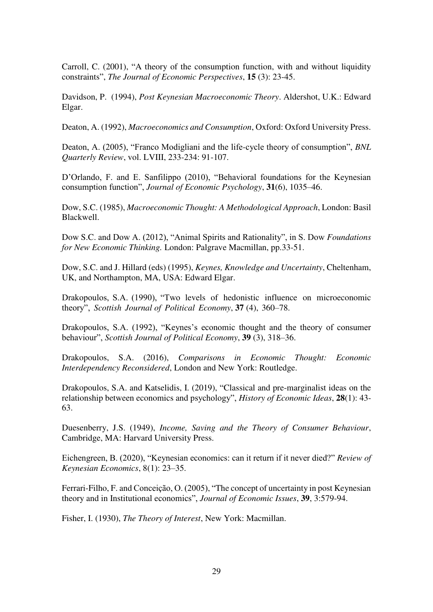Carroll, C. (2001), "A theory of the consumption function, with and without liquidity constraints", *The Journal of Economic Perspectives*, **15** (3): 23-45.

Davidson, P. (1994), *Post Keynesian Macroeconomic Theory*. Aldershot, U.K.: Edward Elgar.

Deaton, A. (1992), *Macroeconomics and Consumption*, Oxford: Oxford University Press.

Deaton, A. (2005), "Franco Modigliani and the life-cycle theory of consumption", *BNL Quarterly Review*, vol. LVIII, 233-234: 91-107.

D'Orlando, F. and E. Sanfilippo (2010), "Behavioral foundations for the Keynesian consumption function", *Journal of Economic Psychology*, **31**(6), 1035–46.

Dow, S.C. (1985), *Macroeconomic Thought: A Methodological Approach*, London: Basil Blackwell.

Dow S.C. and Dow A. (2012), "Animal Spirits and Rationality", in S. Dow *Foundations for New Economic Thinking.* London: Palgrave Macmillan, pp.33-51.

Dow, S.C. and J. Hillard (eds) (1995), *Keynes, Knowledge and Uncertainty*, Cheltenham, UK, and Northampton, MA, USA: Edward Elgar.

Drakopoulos, S.A. (1990), "Two levels of hedonistic influence on microeconomic theory", *Scottish Journal of Political Economy*, **37** (4), 360–78.

Drakopoulos, S.A. (1992), "Keynes's economic thought and the theory of consumer behaviour", *Scottish Journal of Political Economy*, **39** (3), 318–36.

Drakopoulos, S.A. (2016), *Comparisons in Economic Thought: Economic Interdependency Reconsidered*, London and New York: Routledge.

Drakopoulos, S.A. and Katselidis, I. (2019), "Classical and pre-marginalist ideas on the relationship between economics and psychology", *History of Economic Ideas*, **28**(1): 43- 63.

Duesenberry, J.S. (1949), *Income, Saving and the Theory of Consumer Behaviour*, Cambridge, MA: Harvard University Press.

Eichengreen, B. (2020), "Keynesian economics: can it return if it never died?" *Review of Keynesian Economics*, 8(1): 23–35.

Ferrari-Filho, F. and Conceição, O. (2005), "The concept of uncertainty in post Keynesian theory and in Institutional economics", *Journal of Economic Issues*, **39**, 3:579-94.

Fisher, I. (1930), *The Theory of Interest*, New York: Macmillan.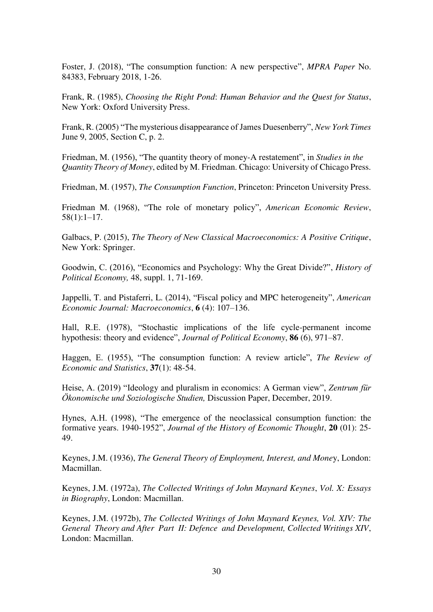Foster, J. (2018), "The consumption function: A new perspective", *MPRA Paper* No. 84383, February 2018, 1-26.

Frank, R. (1985), *Choosing the Right Pond*: *Human Behavior and the Quest for Status*, New York: Oxford University Press.

Frank, R. (2005) "The mysterious disappearance of James Duesenberry", *New York Times* June 9, 2005, Section C, p. 2.

Friedman, M. (1956), "The quantity theory of money-A restatement", in *Studies in the Quantity Theory of Money*, edited by M. Friedman. Chicago: University of Chicago Press.

Friedman, M. (1957), *The Consumption Function*, Princeton: Princeton University Press.

Friedman M. (1968), "The role of monetary policy", *American Economic Review*, 58(1):1–17.

Galbacs, P. (2015), *The Theory of New Classical Macroeconomics: A Positive Critique*, New York: Springer.

Goodwin, C. (2016), "Economics and Psychology: Why the Great Divide?", *History of Political Economy,* 48, suppl. 1, 71-169.

Jappelli, T. and Pistaferri, L. (2014), "Fiscal policy and MPC heterogeneity", *American Economic Journal: Macroeconomics*, **6** (4): 107–136.

Hall, R.E. (1978), "Stochastic implications of the life cycle-permanent income hypothesis: theory and evidence", *Journal of Political Economy*, **86** (6), 971–87.

Haggen, E. (1955), "The consumption function: A review article", *The Review of Economic and Statistics*, **37**(1): 48-54.

Heise, A. (2019) "Ideology and pluralism in economics: A German view", *Zentrum für Ökonomische und Soziologische Studien,* Discussion Paper, December, 2019.

Hynes, A.H. (1998), "The emergence of the neoclassical consumption function: the formative years. 1940-1952", *Journal of the History of Economic Thought*, **20** (01): 25- 49.

Keynes, J.M. (1936), *The General Theory of Employment, Interest, and Mone*y, London: Macmillan.

Keynes, J.M. (1972a), *The Collected Writings of John Maynard Keynes*, *Vol. X: Essays in Biography*, London: Macmillan.

Keynes, J.M. (1972b), *The Collected Writings of John Maynard Keynes, Vol. XIV: The General Theory and After Part II: Defence and Development, Collected Writings XIV*, London: Macmillan.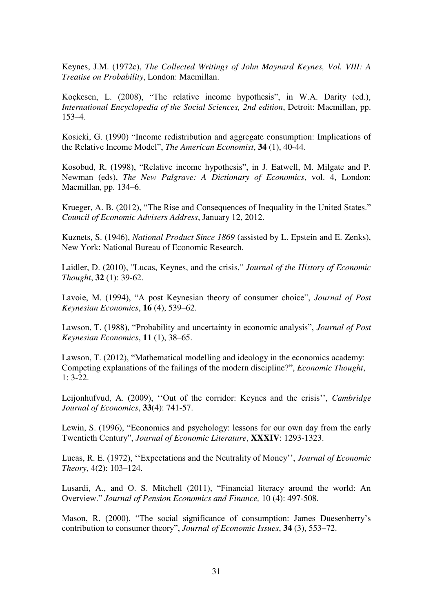Keynes, J.M. (1972c), *The Collected Writings of John Maynard Keynes, Vol. VIII: A Treatise on Probability*, London: Macmillan.

Koçkesen, L. (2008), "The relative income hypothesis", in W.A. Darity (ed.), *International Encyclopedia of the Social Sciences, 2nd edition*, Detroit: Macmillan, pp. 153–4.

Kosicki, G. (1990) "Income redistribution and aggregate consumption: Implications of the Relative Income Model", *The American Economist*, **34** (1), 40-44.

Kosobud, R. (1998), "Relative income hypothesis", in J. Eatwell, M. Milgate and P. Newman (eds), *The New Palgrave: A Dictionary of Economics*, vol. 4, London: Macmillan, pp. 134–6.

Krueger, A. B. (2012), "The Rise and Consequences of Inequality in the United States." *Council of Economic Advisers Address*, January 12, 2012.

Kuznets, S. (1946), *National Product Since 1869* (assisted by L. Epstein and E. Zenks), New York: National Bureau of Economic Research.

Laidler, D. (2010), "Lucas, Keynes, and the crisis," *Journal of the History of Economic Thought*, **32** (1): 39-62.

Lavoie, M. (1994), "A post Keynesian theory of consumer choice", *Journal of Post Keynesian Economics*, **16** (4), 539–62.

Lawson, T. (1988), "Probability and uncertainty in economic analysis", *Journal of Post Keynesian Economics*, **11** (1), 38–65.

Lawson, T. (2012), "Mathematical modelling and ideology in the economics academy: Competing explanations of the failings of the modern discipline?", *Economic Thought*,  $1: 3-22.$ 

Leijonhufvud, A. (2009), ''Out of the corridor: Keynes and the crisis'', *Cambridge Journal of Economics*, **33**(4): 741-57.

Lewin, S. (1996), "Economics and psychology: lessons for our own day from the early Twentieth Century", *Journal of Economic Literature*, **XXXIV**: 1293-1323.

Lucas, R. E. (1972), ''Expectations and the Neutrality of Money'', *Journal of Economic Theory*, 4(2): 103–124.

Lusardi, A., and O. S. Mitchell (2011), "Financial literacy around the world: An Overview." *Journal of Pension Economics and Finance,* 10 (4): 497-508.

Mason, R. (2000), "The social significance of consumption: James Duesenberry's contribution to consumer theory", *Journal of Economic Issues*, **34** (3), 553–72.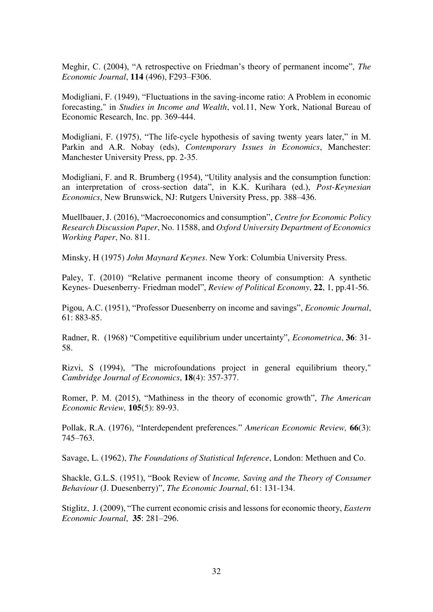Meghir, C. (2004), "A retrospective on Friedman's theory of permanent income", *The Economic Journal*, **114** (496), F293–F306.

Modigliani, F. (1949), "Fluctuations in the saving-income ratio: A Problem in economic forecasting," in *Studies in Income and Wealth*, vol.11, New York, National Bureau of Economic Research, Inc. pp. 369-444.

Modigliani, F. (1975), "The life-cycle hypothesis of saving twenty years later," in M. Parkin and A.R. Nobay (eds), *Contemporary Issues in Economics*, Manchester: Manchester University Press, pp. 2-35.

Modigliani, F. and R. Brumberg (1954), "Utility analysis and the consumption function: an interpretation of cross-section data", in K.K. Kurihara (ed.), *Post-Keynesian Economics*, New Brunswick, NJ: Rutgers University Press, pp. 388–436.

Muellbauer, J. (2016), "Macroeconomics and consumption", *Centre for Economic Policy Research Discussion Paper*, No. 11588, and *Oxford University Department of Economics Working Paper*, No. 811.

Minsky, H (1975) *John Maynard Keynes*. New York: Columbia University Press.

Paley, T. (2010) "Relative permanent income theory of consumption: A synthetic Keynes- Duesenberry- Friedman model", *Review of Political Economy*, **22**, 1, pp.41-56.

Pigou, A.C. (1951), "Professor Duesenberry on income and savings", *Economic Journal*, 61: 883-85.

Radner, R. (1968) "Competitive equilibrium under uncertainty", *Econometrica*, **36**: 31- 58.

Rizvi, S (1994), "The microfoundations project in general equilibrium theory," *Cambridge Journal of Economics*, **18**(4): 357-377.

Romer, P. M. (2015), "Mathiness in the theory of economic growth", *The American Economic Review,* **105**(5): 89-93.

Pollak, R.A. (1976), "Interdependent preferences." *American Economic Review,* **66**(3): 745–763.

Savage, L. (1962), *The Foundations of Statistical Inference*, London: Methuen and Co.

Shackle, G.L.S. (1951), "Book Review of *Income, Saving and the Theory of Consumer Behaviour* (J. Duesenberry)", *The Economic Journal*, 61: 131-134.

Stiglitz, J. (2009), "The current economic crisis and lessons for economic theory, *Eastern Economic Journal*, **35**: 281–296.